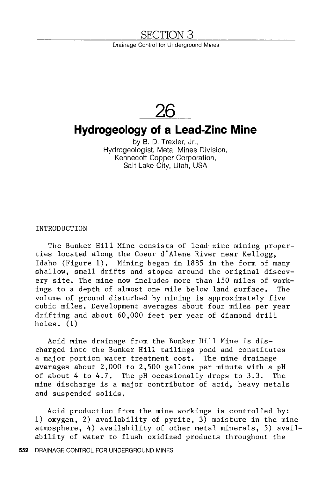### SECTION 3

Drainage Control for Underground Mines

# **26**

## **Hydrogeology of a Lead-Zinc Mine**

by B. D. Trexler, Jr., Hydrogeologist, Metal Mines Division, Kennecott Copper Corporation, Salt Lake City, Utah, USA

INTRODUCTION

The Bunker Hill Mine consists of lead-zinc mining properties located along the Coeur d'Alene River near Kellogg, Idaho (Figure 1). Mining began in 1885 in the form of many shallow, small drifts and stopes around the original discovery site, The mine now includes more than 150 miles of workings to a depth of almost one mile below land surface. The volume of ground disturbed by mining is approximately five cubic miles, Development averages about four miles per year drifting and about 60,000 feet per year of diamond drill holes. (1)

Acid mine drainage from the Bunker Hill Mine is discharged into the Bunker Hill tailings pond and constitutes a major portion water treatment cost. The mine drainage averages about 2,000 to 2,500 gallons per minute with a pH of about 4 to 4.7. The pH occasionally drops to 3.3. The mine discharge is a major contributor of acid, heavy metals and suspended solids.

Acid production from the mine workings is controlled by: 1) oxygen, 2) availability of pyrite, 3) moisture in the mine atmosphere, 4) availability of other metal minerals, 5) availability of water to flush oxidized products throughout the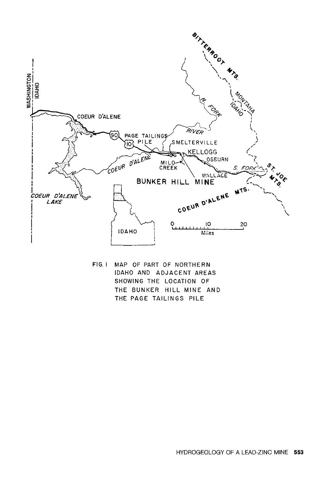

FIG. I MAP OF PART OF NORTHERN IDAHO AND ADJACENT AREAS SHOWING THE LOCATION OF THE BUNKER HILL MINE AND THE PAGE TAILINGS PILE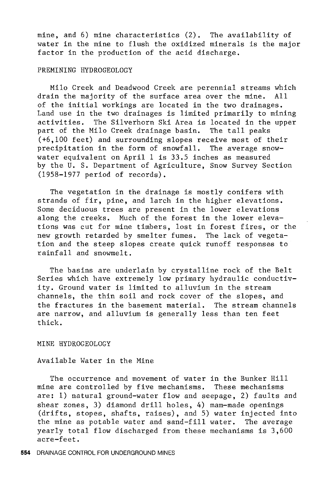mine, and 6) mine characteristics (2). The availability of water in the mine to flush the oxidized minerals is the major factor in the production of the acid discharge.

#### PREMINING HYDROGEOLOGY

Milo Creek and Deadwood Creek are perennial streams which drain the majority of the surface area over the mine. All of the initial workings are located in the two drainages. Land use in the two drainages is limited primarily to mining activities. The Silverhorn Ski Area is located in the upper<br>part of the Milo Creek drainage basin. The tall peaks part of the Milo Creek drainage basin. (+6,100 feet) and surrounding slopes receive most of their precipitation in the form of snowfall. The average snowwater equivalent on April 1 is 33.5 inches as measured by the U. S. Department of Agriculture, Snow Survey Section (1958-1977 period of records).

The vegetation in the drainage is mostly conifers with strands of fir, pine, and larch in the higher elevations. Some deciduous trees are present in the lower elevations along the creeks. Much of the forest in the lower elevations was cut for mine timbers, lost in forest fires, or the new growth retarded by smelter fumes. The lack of vegetation and the steep slopes create quick runoff responses to rainfall and snowmelt.

The basins are underlain by crystalline rock of the Belt Series which have extremely low primary hydraulic conductivity. Ground water is limited to alluvium in the stream channels, the thin soil and rock cover of the slopes, and the fractures in the basement material. The stream channels are narrow, and alluvium is generally less than ten feet thick.

MINE HYDROGEOLOGY

#### Available Water in the Mine

The occurrence and movement of water in the Bunker Hill mine are controlled by five mechanisms. These mechanisms are: 1) natural ground-water flow and seepage, 2) faults and shear zones, 3) diamond drill holes, 4) mam-made openings (drifts, stopes, shafts, raises), and 5) water injected into the mine as potable water and sand-fill water. The average yearly total flow discharged from these mechanisms is 3,600 acre-feet.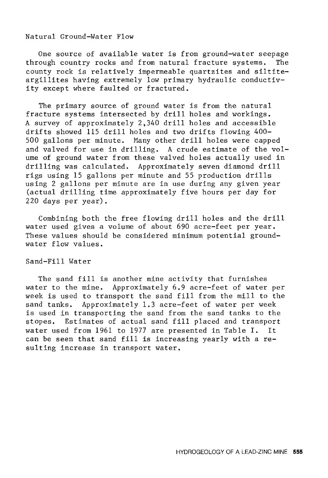#### Natural Ground-Water Flow

One source of available water is from ground-water seepage<br>cough country rocks and from natural fracture systems. The through country rocks and from natural fracture systems. county rock is relatively impermeable quartzites and siltiteargillites having extremely low primary hydraulic conductivity except where faulted or fractured.

The primary source of ground water is from the natural fracture systems intersected by drill holes and workings. A survey of approximately 2,340 drill holes and accessible drifts showed 115 drill holes and two drifts flowing 400- 500 gallons per minute. Many other drill holes were capped and valved for use in drilling. A crude estimate of the volume of ground water from these valved holes actually used in drilling was calculated. Approximately seven diamond drill rigs using 15 gallons per minute and 55 production drills using 2 gallons per minute are in use during any given year (actual drilling time approximately five hours per day for 220 days per year).

Combining both the free flowing drill holes and the drill water used gives a volume of about 690 acre-feet per year. These values should be considered minimum potential groundwater flow values.

#### Sand-Fill Water

The sand fill is another mine activity that furnishes water to the mine. Approximately 6.9 acre-feet of water per week is used to transport the sand fill from the mill to the sand tanks. Approximately 1.3 acre-feet of water per week is used in transporting the sand from the sand tanks to the stopes. Estimates of actual sand fill placed and transport water used from 1961 to 1977 are presented in Table I. It can be seen that sand fill is increasing yearly with a resulting increase in transport water.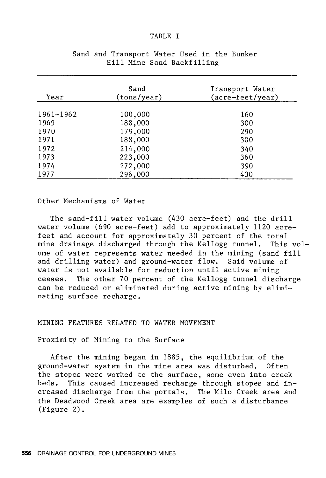#### TABLE I

| Year      | Sand<br>(tons/year) | Transport Water<br>(acre-feet/year) |
|-----------|---------------------|-------------------------------------|
| 1961-1962 | 100,000             | 160                                 |
| 1969      | 188,000             | 300                                 |
| 1970      | 179,000             | 290                                 |
| 1971      | 188,000             | 300                                 |
| 1972      | 214,000             | 340                                 |
| 1973      | 223,000             | 360                                 |
| 1974      | 272,000             | 390                                 |
| 1977      | 296,000             | 430                                 |

#### Sand and Transport Water Used in the Bunker Hill Mine Sand Backfilling

#### Other Mechanisms of Water

The sand-fill water volume (430 acre-feet) and the drill water volume (690 acre-feet) add to approximately 1120 acrefeet and account for approximately 30 percent of the total mine drainage discharged through the Kellogg tunnel. This volume of water represents water needed in the mining (sand fill and drilling water) and ground-water flow. Said volume of water is not available for reduction until active mining ceases. The other 70 percent of the Kellogg tunnel discharge can be reduced or eliminated during active mining by eliminating surface recharge.

#### MINING FEATURES RELATED TO WATER MOVEMENT

Proximity of Mining to the Surface

After the mining began in 1885, the equilibrium of the ground-water system in the mine area was disturbed. Often the stopes were worked to the surface, some even into creek beds. This caused increased recharge through stopes and increased discharge from the portals. The Milo Creek area and the Deadwood Creek area are examples of such a disturbance (Figure 2).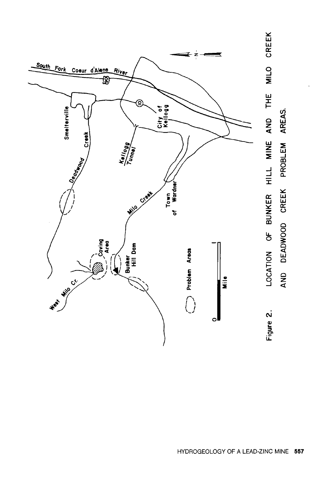

CREEK MILO AND THE AREAS. LOCATION OF BUNKER HILL MINE PROBLEM AND DEADWOOD CREEK Figure 2.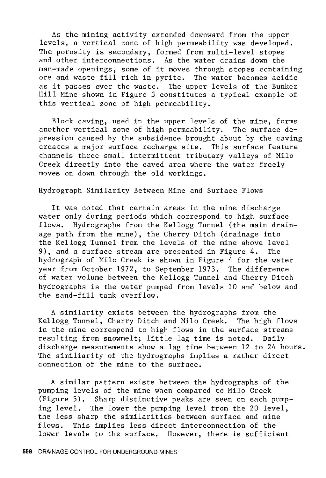As the mining activity extended downward from the upper levels, a vertical zone of high permeability was developed. The porosity is secondary, formed from multi-level stopes and other interconnections. As the water drains down the man-made openings, some of it moves through stopes containing ore and waste fill rich in pyrite. The water becomes acidic as it passes over the waste. The upper levels of the Bunker Hill Mine shown in Figure 3 constitutes a typical example of this vertical zone of high permeability.

Block caving, used in the upper levels of the mine, forms another vertical zone of high permeability. The surface depression caused by the subsidence brought about by the caving creates a major surface recharge site. This surface feature channels three small intermittent tributary valleys of Milo Creek directly into the caved area where the water freely moves on down through the old workings.

#### Hydrograph Similarity Between Mine and Surface Flows

It was noted that certain areas in the mine discharge water only during periods which correspond to high surface flows. Hydrographs from the Kellogg Tunnel (the main drainage path from the mine), the Cherry Ditch (drainage into the Kellogg Tunnel from the levels of the mine above level 9), and a surface stream are presented in Figure 4. The hydrograph of Milo Creek is shown in Figure 4 for the water year from October 1972, to September 1973. The difference of water volume between the Kellogg Tunnel and Cherry Ditch hydrographs is the water pumped from levels 10 and below and the sand-fill tank overflow.

A similarity exists between the hydrographs from the Kellogg Tunnel, Cherry Ditch and Milo Creek. The high flows in the mine correspond to high flows in the surface streams resulting from snowmelt; little lag time is noted. Daily discharge measurements show a lag time between 12 to 24 hours. The similiarity of the hydrographs implies a rather direct connection of the mine to the surface.

A similar pattern exists between the hydrographs of the pumping levels of the mine when compared to Milo Creek (Figure 5). Sharp distinctive peaks are seen on each pumping level. The lower the pumping level from the 20 level, the less sharp the similarities between surface and mine flows. This implies less direct interconnection of the lower levels to the surface. However, there is sufficient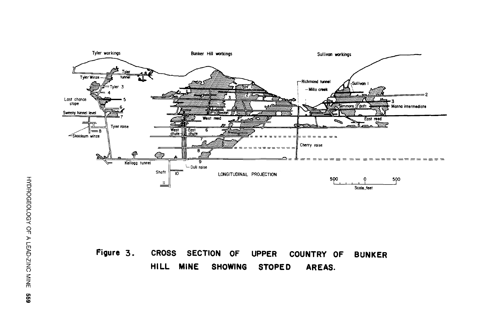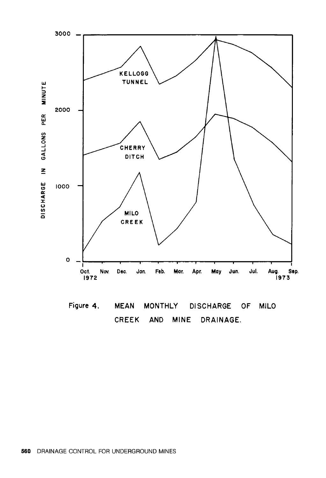

Figure 4. **DISCHARGE MILO MEAN MONTHLY OF** CREEK **AND MINE** DRAINAGE.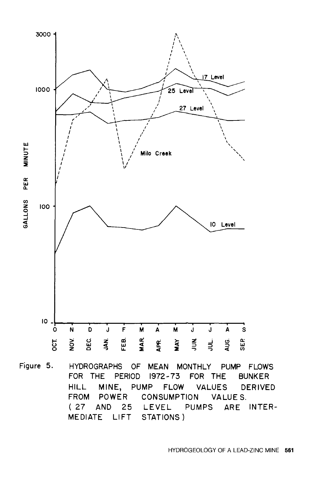

Figure 5. **HYDROGRAPHS MEAN MONTHLY** OF . PUMP FLOWS FOR THE PERIOD 1972-73 FOR THE **BUNKER** MINE, PUMP FLOW **VALUES DERIVED HILL** FROM POWER CONSUMPTION VALUES. LEVEL PUMPS ARE INTER-(27 AND 25 MEDIATE LIFT STATIONS)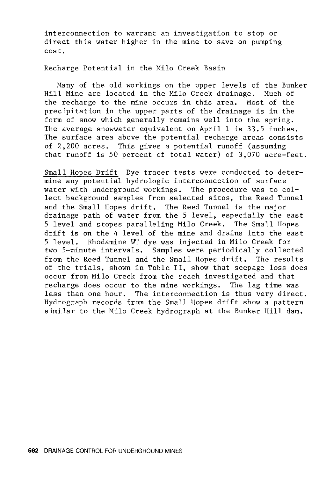interconnection to warrant an investigation to stop or direct this water higher in the mine to save on pumping cost.

Recharge Potential in the Milo Creek Basin

Many of the old workings on the upper levels of the Bunker Hill Mine are located in the Milo Creek drainage. Much of the recharge to the mine occurs in this area. Most of the precipitation in the upper parts of the drainage is in the form of snow which generally remains well into the spring. The average snowwater equivalent on April 1 is 33.5 inches. The surface area above the potential recharge areas consists of 2,200 acres. This gives a potential runoff (assuming that runoff is 50 percent of total water) of 3,070 acre-feet.

Small Hopes Drift Dye tracer tests were conducted to determine any potential hydrologic interconnection of surface water with underground workings. The procedure was to collect background samples from selected sites, the Reed Tunnel and the Small Hopes drift. The Reed Tunnel is the major drainage path of water from the 5 level, especially the east 5 level and stopes paralleling Milo Creek. The Small Hopes drift is on the 4 level of the mine and drains into the east 5 level. Rhodarnine WT dye was injected in Milo Creek for two 5-minute intervals. Samples were periodically collected from the Reed Tunnel and the Small Hopes drift. The results of the trials, shown in Table II, show that seepage loss does occur from Milo Creek from the reach investigated and that recharge does occur to the mine workings. The lag time was less than one hour. The interconnection is thus very direct. Hydrograph records from the Small Hopes drift show a pattern similar to the Milo Creek hydrograph at the Bunker Hill dam.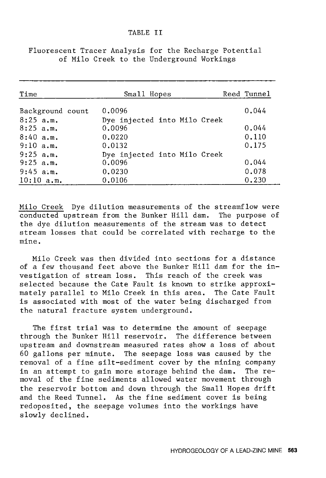| Time                            | Small Hopes                            | Reed Tunnel |
|---------------------------------|----------------------------------------|-------------|
| Background count<br>$8:25$ a.m. | 0.0096<br>Dye injected into Milo Creek | 0.044       |
| $8:25$ a.m.                     | 0.0096                                 | 0.044       |
| $8:40$ a.m.                     | 0,0220                                 | 0.110       |
| 9:10 a.m.                       | 0.0132                                 | 0.175       |
| $9:25$ a.m.                     | Dye injected into Milo Creek           |             |
| $9:25$ a.m.                     | 0.0096                                 | 0.044       |
| 9:45 a.m.                       | 0.0230                                 | 0.078       |
| 10:10 a.m.                      | 0.0106                                 | 0.230       |

Fluorescent Tracer Analysis for the Recharge Potential of Milo Creek to the Underground Workings

Milo Creek Dye dilution measurements of the streamflow were conducted upstream from the Bunker Hill dam. The purpose of the dye dilution measurements of the stream was to detect stream losses that could be correlated with recharge to the mine.

Milo Creek was then divided into sections for a distance of a few thousand feet above the Bunker Hill dam for the investigation of stream loss. This reach of the creek was selected because the Cate Fault is known to strike approximately parallel to Milo Creek in this area. The Cate Fault is associated with most of the water being discharged from the natural fracture system underground.

The first trial was to determine the amount of seepage through the Bunker Hill reservoir. The difference between upstream and downstream measured rates show a loss of about 60 gallons per minute. The seepage loss was caused by the removal of a fine silt-sediment cover by the mining company in an attempt to gain more storage behind the dam. The removal of the fine sediments allowed water movement through the reservoir bottom and down through the Small Hopes drift and the Reed Tunnel. As the fine sediment cover is being redoposited, the seepage volumes into the workings have slowly declined.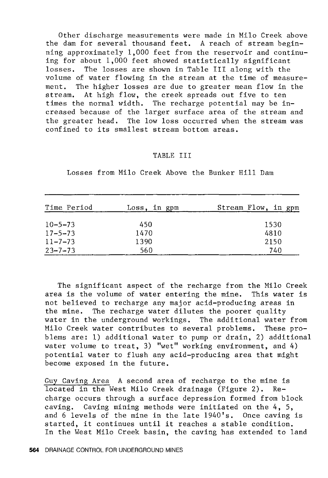Other discharge measurements were made in Milo Creek above the dam for several thousand feet. A reach of stream beginning approximately 1,000 feet from the reservoir and continuing for about 1,000 feet showed statistically significant losses. The losses are shown in Table III along with the volume of water flowing in the stream at the time of measurement. The higher losses are due to greater mean flow in the stream. At high flow, the creek spreads out five to ten times the normal width. The recharge potential may be increased because of the larger surface area of the stream and the greater head. The low loss occurred when the stream was confined to its smallest stream bottom areas.

#### TABLE III

| Time Period   | Loss, in gpm | Stream Flow, in gpm |
|---------------|--------------|---------------------|
| $10 - 5 - 73$ | 450          | 1530                |
| $17 - 5 - 73$ | 1470         | 4810                |
| $11 - 7 - 73$ | 1390         | 2150                |
| $23 - 7 - 73$ | 560          | 740                 |

Losses from Milo Creek Above the Bunker Hill Dam

The significant aspect of the recharge from the Milo Creek area is the volume of water entering the mine. This water is not believed to recharge any major acid-producing areas in the mine. The recharge water dilutes the poorer quality water in the underground workings. The additional water from Milo Creek water contributes to several problems. These problems are: 1) additional water to pump or drain, 2) additional water volume to treat, 3) "wet" working environment, and 4) potential water to flush any acid-producing area that might become exposed in the future.

Guy Caving Area A second area of recharge to the mine is located in the West Milo Creek drainage (Figure 2). Recharge occurs through a surface depression formed from block caving. Caving mining methods were initiated on the 4, 5, and 6 levels of the mine in the late 1940's. Once caving is started, it continues until it reaches a stable condition. In the West Milo Creek basin, the caving has extended to land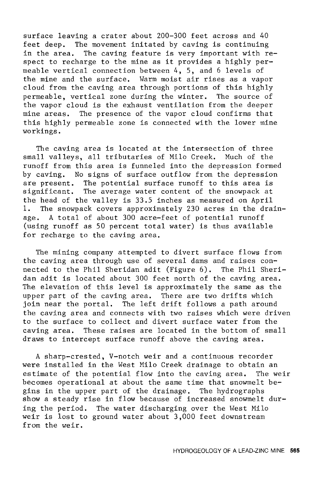surface leaving a crater about 200-300 feet across and 40 feet deep. The movement initated by caving is continuing<br>in the area. The caving feature is very important with re The caving feature is very important with respect to recharge to the mine as it provides a highly permeable vertical connection between 4, 5, and 6 levels of the mine and the surface. Warm moist air rises as a vapor cloud from the caving area through portions of this highly permeable, vertical zone during the winter. The source of the vapor cloud is the exhaust ventilation from the deeper mine areas. The presence of the vapor cloud confirms that this highly permeable zone is connected with the lower mine workings.

The caving area is located at the intersection of three small valleys, all tributaries of Milo Creek. Much of the runoff from this area is funneled into the depression formed by caving. No signs of surface outflow from the depression are present. The potential surface runoff to this area is significant. The average water content of the snowpack at the head of the valley is 33.5 inches as measured on April 1. The snowpack covers approximately 230 acres in the drainage. A total of about 300 acre-feet of potential runoff (using runoff as 50 percent total water) is thus available for recharge to the caving area.

The mining company attempted to divert surface flows from the caving area through use of several dams and raises connected to the Phil Sheridan adit (Figure 6). The Phil Sheridan adit is located about 300 feet north of the caving area. The elevation of this level is approximately the same as the upper part of the caving area. There are two drifts which join near the portal. The left drift follows a path around the caving area and connects with two raises which were driven to the surface to collect and divert surface water from the caving area. These raises are located in the bottom of small draws to intercept surface runoff above the caving area.

A sharp-crested, V-notch weir and a continuous recorder were installed in the West Milo Creek drainage to obtain an estimate of the potential flow into the caving area. The weir becomes operational at about the same time that snowmelt begins in the upper part of the drainage. The hydrographs show a steady rise in flow because of increased snowmelt during the period. The water discharging over the West Milo weir is lost to ground water about 3,000 feet downstream from the weir.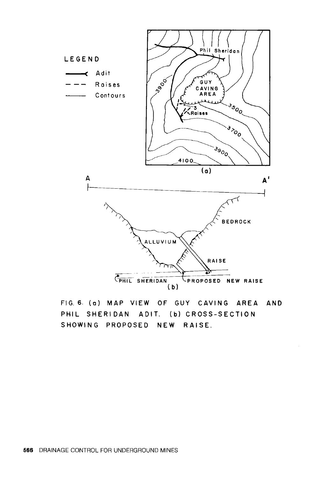

FIG. 6. (a) MAP VIEW OF GUY CAVING AREA AND PHIL SHERIDAN ADIT. (b) CROSS-SECTION SHOWING PROPOSED NEW RAISE.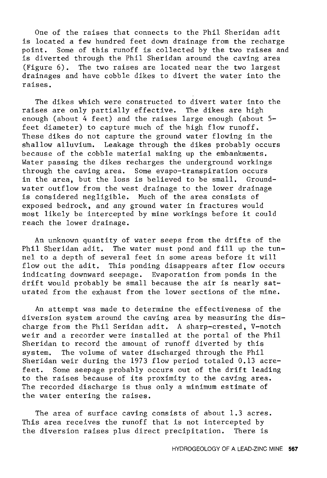One of the raises that connects to the Phil Sheridan adit is located a few hundred feet down drainage from the recharge point. Some of this runoff is collected by the two raises and is diverted through the Phil Sheridan around the caving area (Figure 6). The two raises are located near the two largest drainages and have cobble dikes to divert the water into the raises.

The dikes which were constructed to divert water into the raises are only partially effective. The dikes are high enough (about 4 feet) and the raises large enough (about 5 feet diameter) to capture much of the high flow runoff. These dikes do not capture the ground water flowing in the shallow alluvium. Leakage through the dikes probably occurs because of the cobble material making up the embankments. Water passing the dikes recharges the underground workings through the caving area. Some evapo-transpiration occurs in the area, but the loss is believed to be small. Groundwater outflow from the west drainage to the lower drainage is considered negligible. Much of the area consists of exposed bedrock, and any ground water in fractures would most likely be intercepted by mine workings before it could reach the lower drainage.

An unknown quantity of water seeps from the drifts of the Phil Sheridan adit. The water must pond and fill up the tunnel to a depth of several feet in some areas before it will flow out the adit. This ponding disappears after flow occurs indicating downward seepage. Evaporation from ponds in the drift would probably be small because the air is nearly saturated from the exhaust from the lower sections of the mine.

An attempt was made to determine the effectiveness of the diversion system around the caving area by measuring the discharge from the Phil Seridan adit. A sharp-crested, V-notch weir and a recorder were installed at the portal of the Phil Sheridan to record the amount of runoff diverted by this system. The volume of water discharged through the Phil Sheridan weir during the 1973 flow period totaled 0.13 acrefeet. Some seepage probably occurs out of the drift leading to the raises because of its proximity to the caving area. The recorded discharge is thus only a minimum estimate of the water entering the raises.

The area of surface caving consists of about 1.3 acres. This area receives the runoff that is not intercepted by the diversion raises plus direct precipitation. There is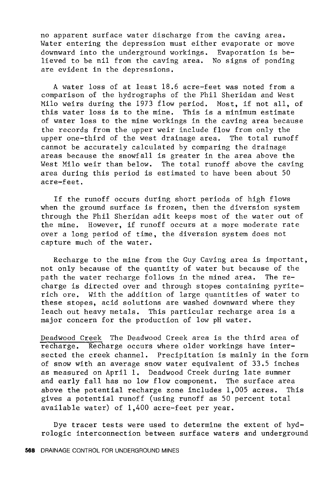no apparent surface water discharge from the caving area. Water entering the depression must either evaporate or move downward into the underground workings. Evaporation is believed to be nil from the caving area. No signs of ponding are evident in the depressions.

A water loss of at least 18.6 acre-feet was noted from a comparison of the hydrographs of the Phil Sheridan and West Milo weirs during the 1973 flow period. Most, if not all, of this water loss is to the mine. This is a minimum estimate of water loss to the mine workings in the caving area because the records from the upper weir include flow from only the upper one-third of the west drainage area. The total runoff cannot be accurately calculated by comparing the drainage areas because the snowfall is greater in the area above the West Milo weir than below. The total runoff above the caving area during this period is estimated to have been about 50 acre-feet.

If the runoff occurs during short periods of high flows when the ground surface is frozen, then the diversion system through the Phil Sheridan adit keeps most of the water out of the mine. However, if runoff occurs at a more moderate rate over a long period of time, the diversion system does not capture much of the water.

Recharge to the mine from the Guy Caving area is important, not only because of the quantity of water but because of the path the water recharge follows in the mined area. The recharge is directed over and through stopes containing pyriterich ore. With the addition of large quantities of water to these stopes, acid solutions are washed downward where they leach out heavy metals. This particular recharge area is a major concern for the production of low pH water.

Deadwood Creek The Deadwood Creek area is the third area of recharge. Recharge occurs where older workings have intersected the creek channel. Precipitation is mainly in the form of snow with an average snow water equivalent of 33.5 inches as measured on April 1. Deadwood Creek during late summer and early fall has no low flow component. The surface area above the potential recharge zone includes 1,005 acres. This gives a potential runoff (using runoff as 50 percent total available water) of 1,400 acre-feet per year.

Dye tracer tests were used to determine the extent of hydrologic interconnection between surface waters and underground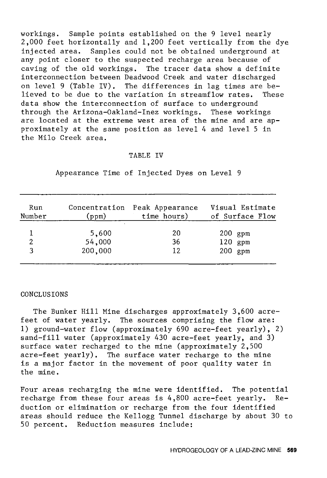workings. Sample points established on the 9 level nearly 2,000 feet horizontally and 1,200 feet vertically from the dye injected area. Samples could not be obtained underground at any point closer to the suspected recharge area because of caving of the old workings. The tracer data show a definite interconnection between Deadwood Creek and water discharged on level 9 (Table IV). The differences in lag times are believed to be due to the variation in streamflow rates. These data show the interconnection of surface to underground through the Arizona-Oakland-Inez workings. These workings are located at the extreme west area of the mine and are approximately at the same position as level 4 and level 5 in the Milo Creek area.

#### TABLE IV

| Run<br>Number | Concentration<br>(ppm) | Peak Appearance<br>time hours) | Visual Estimate<br>of Surface Flow |
|---------------|------------------------|--------------------------------|------------------------------------|
|               | 5,600                  | 20                             | $200$ gpm                          |
| 2             | 54,000                 | 36                             | $120$ gpm                          |
| વ             | 200,000                | 12                             | $200$ gpm                          |

Appearance Time of Injected Dyes on Level 9

#### **CONCLUSIONS**

The Bunker Hill Mine discharges approximately 3,600 acrefeet of water yearly. The sources comprising the flow are: 1) ground-water flow (approximately 690 acre-feet yearly), 2) sand-fill water (approximately 430 acre-feet yearly, and 3) surface water recharged to the mine (approximately 2,500 acre-feet yearly). The surface water recharge to the mine is a major factor in the movement of poor quality water in the mine.

Four areas recharging the mine were identified. The potential recharge from these four areas is 4,800 acre-feet yearly. Reduction or elimination or recharge from the four identified areas should reduce the Kellogg Tunnel discharge by about 30 to 50 percent. Reduction measures include: